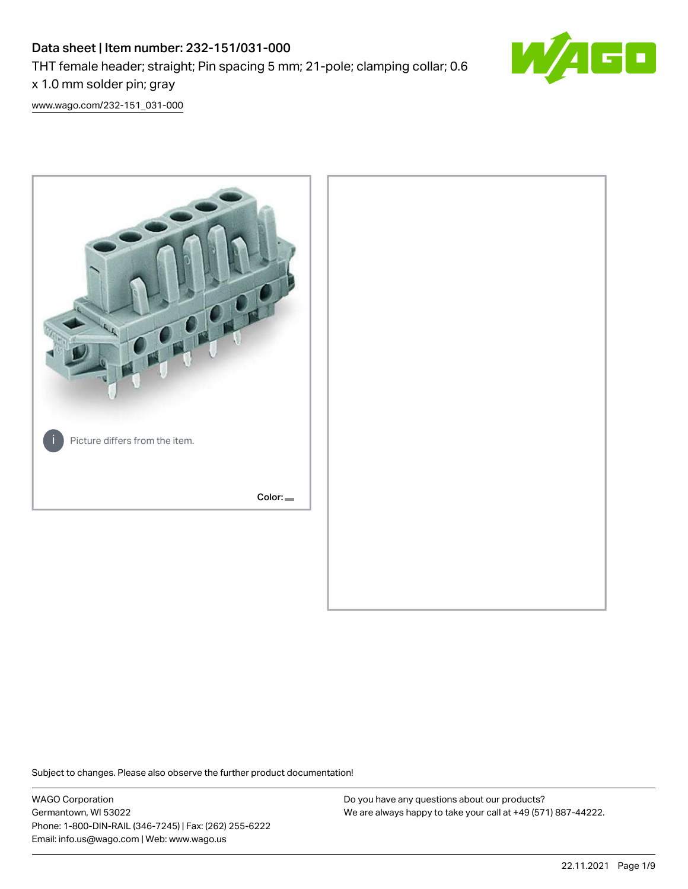# Data sheet | Item number: 232-151/031-000 THT female header; straight; Pin spacing 5 mm; 21-pole; clamping collar; 0.6 x 1.0 mm solder pin; gray



[www.wago.com/232-151\\_031-000](http://www.wago.com/232-151_031-000)



Subject to changes. Please also observe the further product documentation!

WAGO Corporation Germantown, WI 53022 Phone: 1-800-DIN-RAIL (346-7245) | Fax: (262) 255-6222 Email: info.us@wago.com | Web: www.wago.us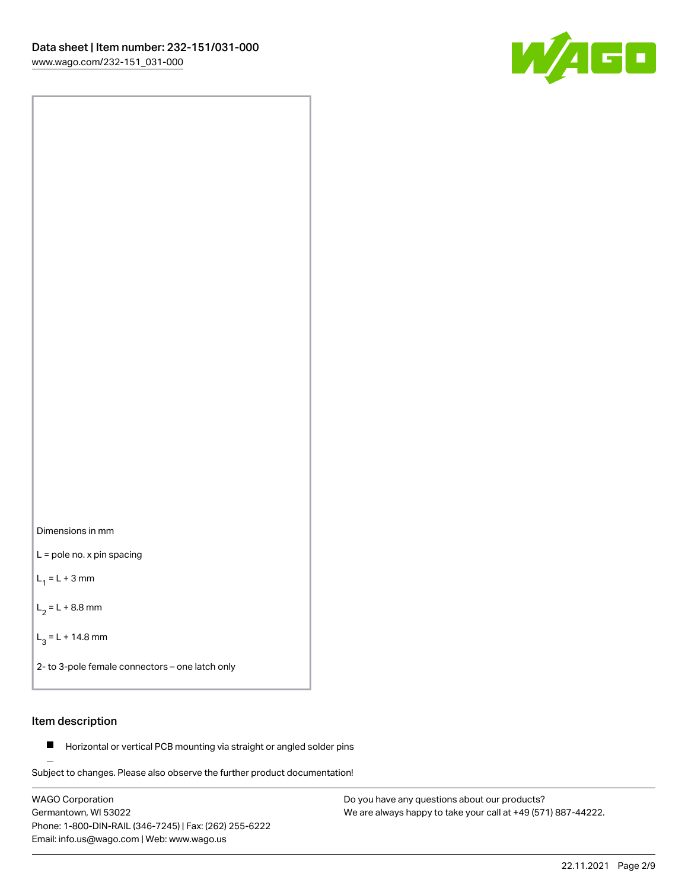



L = pole no. x pin spacing

 $L_1 = L + 3$  mm

 $L_2 = L + 8.8$  mm

 $L_3 = L + 14.8$  mm

2- to 3-pole female connectors – one latch only

### Item description

**Horizontal or vertical PCB mounting via straight or angled solder pins** 

Subject to changes. Please also observe the further product documentation! For board-to-board and board-to-wire connections

WAGO Corporation Germantown, WI 53022 Phone: 1-800-DIN-RAIL (346-7245) | Fax: (262) 255-6222 Email: info.us@wago.com | Web: www.wago.us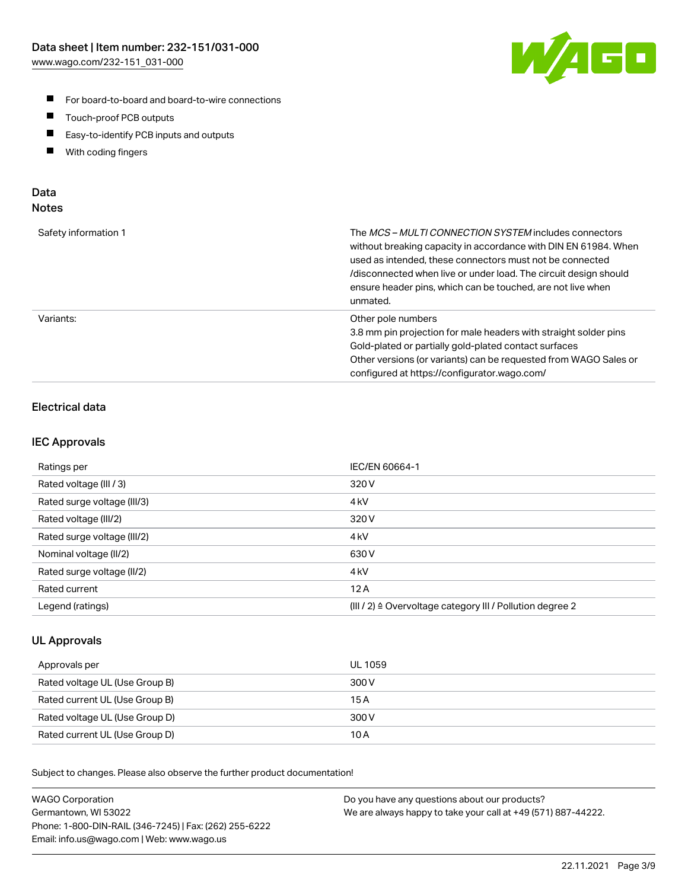

- For board-to-board and board-to-wire connections
- $\blacksquare$ Touch-proof PCB outputs
- $\blacksquare$ Easy-to-identify PCB inputs and outputs
- $\blacksquare$ With coding fingers

### Data **Notes**

| Safety information 1 | The <i>MCS – MULTI CONNECTION SYSTEM</i> includes connectors<br>without breaking capacity in accordance with DIN EN 61984. When<br>used as intended, these connectors must not be connected<br>/disconnected when live or under load. The circuit design should<br>ensure header pins, which can be touched, are not live when<br>unmated. |
|----------------------|--------------------------------------------------------------------------------------------------------------------------------------------------------------------------------------------------------------------------------------------------------------------------------------------------------------------------------------------|
| Variants:            | Other pole numbers<br>3.8 mm pin projection for male headers with straight solder pins<br>Gold-plated or partially gold-plated contact surfaces<br>Other versions (or variants) can be requested from WAGO Sales or<br>configured at https://configurator.wago.com/                                                                        |

## Electrical data

### IEC Approvals

| Ratings per                 | IEC/EN 60664-1                                                        |
|-----------------------------|-----------------------------------------------------------------------|
| Rated voltage (III / 3)     | 320 V                                                                 |
| Rated surge voltage (III/3) | 4 <sub>k</sub> V                                                      |
| Rated voltage (III/2)       | 320 V                                                                 |
| Rated surge voltage (III/2) | 4 <sub>k</sub> V                                                      |
| Nominal voltage (II/2)      | 630 V                                                                 |
| Rated surge voltage (II/2)  | 4 <sub>kV</sub>                                                       |
| Rated current               | 12A                                                                   |
| Legend (ratings)            | $(III / 2)$ $\triangle$ Overvoltage category III / Pollution degree 2 |

### UL Approvals

| Approvals per                  | UL 1059 |
|--------------------------------|---------|
| Rated voltage UL (Use Group B) | 300 V   |
| Rated current UL (Use Group B) | 15A     |
| Rated voltage UL (Use Group D) | 300 V   |
| Rated current UL (Use Group D) | 10 A    |

Subject to changes. Please also observe the further product documentation!

| <b>WAGO Corporation</b>                                | Do you have any questions about our products?                 |
|--------------------------------------------------------|---------------------------------------------------------------|
| Germantown, WI 53022                                   | We are always happy to take your call at +49 (571) 887-44222. |
| Phone: 1-800-DIN-RAIL (346-7245)   Fax: (262) 255-6222 |                                                               |
| Email: info.us@wago.com   Web: www.wago.us             |                                                               |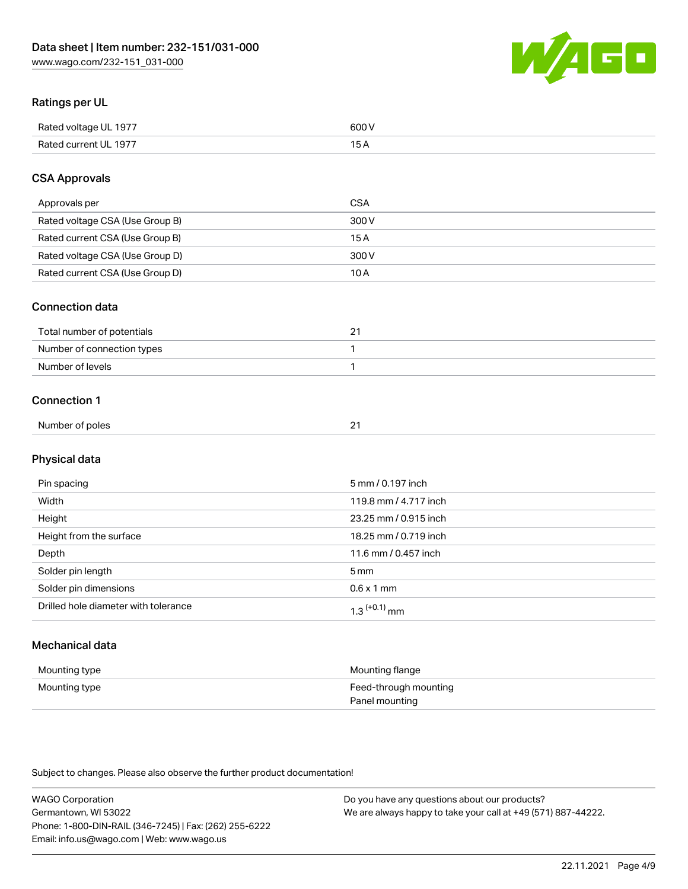

### Ratings per UL

| Rated voltage UL 1977                | COO V<br>ור |
|--------------------------------------|-------------|
| <b>Rated</b><br>UL 1977<br>curront l | _____       |

### CSA Approvals

| Approvals per                   | CSA   |
|---------------------------------|-------|
| Rated voltage CSA (Use Group B) | 300 V |
| Rated current CSA (Use Group B) | 15 A  |
| Rated voltage CSA (Use Group D) | 300 V |
| Rated current CSA (Use Group D) | 10 A  |

#### Connection data

| Total number of potentials |  |
|----------------------------|--|
| Number of connection types |  |
| Number of levels           |  |

#### Connection 1

| Number of poles | $\sim$ |
|-----------------|--------|
|                 |        |

# Physical data

| Pin spacing                          | 5 mm / 0.197 inch          |
|--------------------------------------|----------------------------|
| Width                                | 119.8 mm / 4.717 inch      |
| Height                               | 23.25 mm / 0.915 inch      |
| Height from the surface              | 18.25 mm / 0.719 inch      |
| Depth                                | 11.6 mm / 0.457 inch       |
| Solder pin length                    | 5 mm                       |
| Solder pin dimensions                | $0.6 \times 1$ mm          |
| Drilled hole diameter with tolerance | $1.3$ <sup>(+0.1)</sup> mm |

# Mechanical data

| Mounting type | Mounting flange                         |
|---------------|-----------------------------------------|
| Mounting type | Feed-through mounting<br>Panel mounting |

Subject to changes. Please also observe the further product documentation!

| <b>WAGO Corporation</b>                                | Do you have any questions about our products?                 |
|--------------------------------------------------------|---------------------------------------------------------------|
| Germantown, WI 53022                                   | We are always happy to take your call at +49 (571) 887-44222. |
| Phone: 1-800-DIN-RAIL (346-7245)   Fax: (262) 255-6222 |                                                               |
| Email: info.us@wago.com   Web: www.wago.us             |                                                               |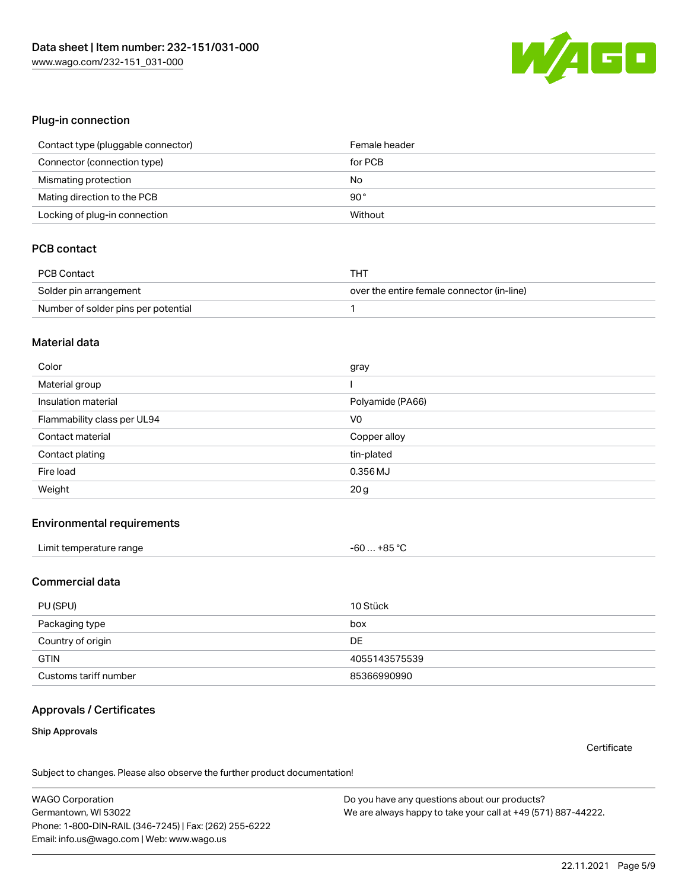

#### Plug-in connection

| Contact type (pluggable connector) | Female header |
|------------------------------------|---------------|
| Connector (connection type)        | for PCB       |
| Mismating protection               | No            |
| Mating direction to the PCB        | $90^{\circ}$  |
| Locking of plug-in connection      | Without       |

## PCB contact

| PCB Contact                         | тнт                                        |
|-------------------------------------|--------------------------------------------|
| Solder pin arrangement              | over the entire female connector (in-line) |
| Number of solder pins per potential |                                            |

#### Material data

| Color                       | gray             |
|-----------------------------|------------------|
| Material group              |                  |
| Insulation material         | Polyamide (PA66) |
| Flammability class per UL94 | V <sub>0</sub>   |
| Contact material            | Copper alloy     |
| Contact plating             | tin-plated       |
| Fire load                   | 0.356 MJ         |
| Weight                      | 20 <sub>g</sub>  |

#### Environmental requirements

| Limit temperature range | $-60+85 °C$ |  |
|-------------------------|-------------|--|
|-------------------------|-------------|--|

#### Commercial data

| PU (SPU)              | 10 Stück      |
|-----------------------|---------------|
| Packaging type        | box           |
| Country of origin     | <b>DE</b>     |
| <b>GTIN</b>           | 4055143575539 |
| Customs tariff number | 85366990990   |

### Approvals / Certificates

#### Ship Approvals

**Certificate** 

Subject to changes. Please also observe the further product documentation!

WAGO Corporation Germantown, WI 53022 Phone: 1-800-DIN-RAIL (346-7245) | Fax: (262) 255-6222 Email: info.us@wago.com | Web: www.wago.us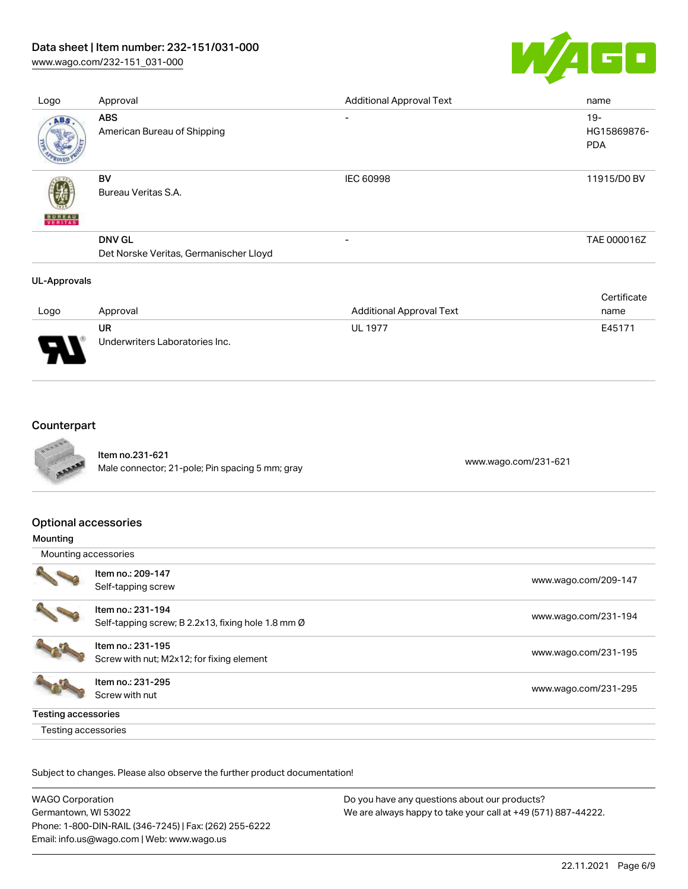[www.wago.com/232-151\\_031-000](http://www.wago.com/232-151_031-000)



| Logo                | Approval                                                | <b>Additional Approval Text</b> | name                                |
|---------------------|---------------------------------------------------------|---------------------------------|-------------------------------------|
| ABS                 | <b>ABS</b><br>American Bureau of Shipping               |                                 | $19 -$<br>HG15869876-<br><b>PDA</b> |
| <b>BUREAU</b>       | <b>BV</b><br>Bureau Veritas S.A.                        | IEC 60998                       | 11915/D0 BV                         |
|                     | <b>DNV GL</b><br>Det Norske Veritas, Germanischer Lloyd | $\overline{\phantom{a}}$        | TAE 000016Z                         |
| <b>UL-Approvals</b> |                                                         |                                 |                                     |

|        |                                |                                 | Certificate |
|--------|--------------------------------|---------------------------------|-------------|
| Logo   | Approval                       | <b>Additional Approval Text</b> | name        |
|        | UR                             | <b>UL 1977</b>                  | E45171      |
| J<br>◡ | Underwriters Laboratories Inc. |                                 |             |

# Counterpart



Item no.231-621 nem 10.231-021<br>Male connector; 21-pole; Pin spacing 5 mm; gray [www.wago.com/231-621](https://www.wago.com/231-621)

### Optional accessories

| Mounting                   |                                                    |                      |
|----------------------------|----------------------------------------------------|----------------------|
| Mounting accessories       |                                                    |                      |
|                            | Item no.: 209-147                                  | www.wago.com/209-147 |
|                            | Self-tapping screw                                 |                      |
|                            | Item no.: 231-194                                  |                      |
|                            | Self-tapping screw; B 2.2x13, fixing hole 1.8 mm Ø | www.wago.com/231-194 |
|                            | Item no.: 231-195                                  |                      |
|                            | Screw with nut; M2x12; for fixing element          | www.wago.com/231-195 |
|                            | Item no.: 231-295                                  |                      |
|                            | Screw with nut                                     | www.wago.com/231-295 |
| <b>Testing accessories</b> |                                                    |                      |
| Testing accessories        |                                                    |                      |

Subject to changes. Please also observe the further product documentation!

WAGO Corporation Germantown, WI 53022 Phone: 1-800-DIN-RAIL (346-7245) | Fax: (262) 255-6222 Email: info.us@wago.com | Web: www.wago.us Do you have any questions about our products? We are always happy to take your call at +49 (571) 887-44222.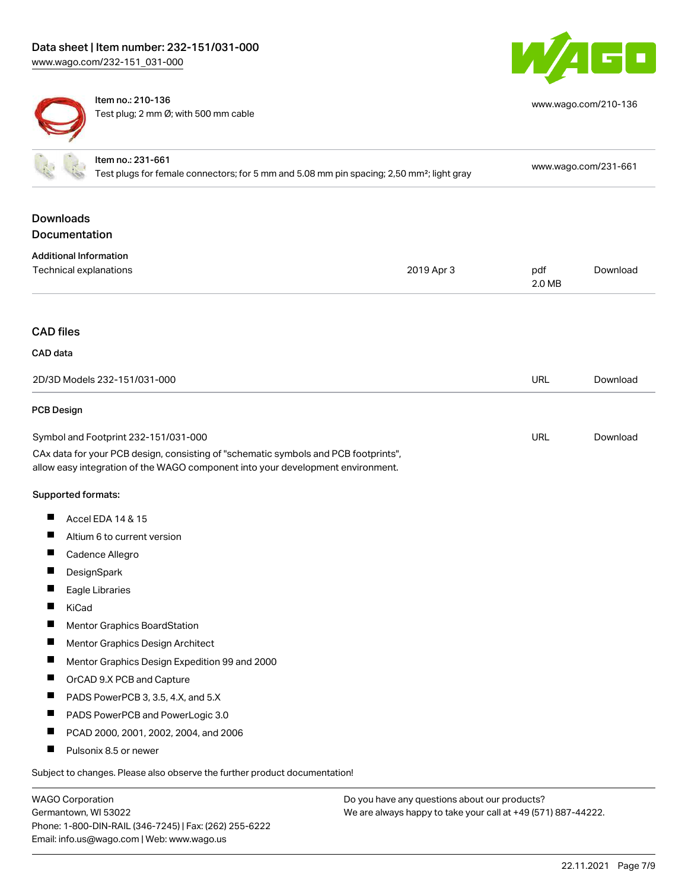



Item no.: 210-136 Test plug; 2 mm Ø; with 500 mm cable

| www.wago.com/210-136 |
|----------------------|
|----------------------|

| Item no.: 231-661<br>Test plugs for female connectors; for 5 mm and 5.08 mm pin spacing; 2,50 mm <sup>2</sup> ; light gray                                                                                     |            | www.wago.com/231-661 |          |
|----------------------------------------------------------------------------------------------------------------------------------------------------------------------------------------------------------------|------------|----------------------|----------|
| <b>Downloads</b><br><b>Documentation</b>                                                                                                                                                                       |            |                      |          |
| <b>Additional Information</b>                                                                                                                                                                                  |            |                      |          |
| Technical explanations                                                                                                                                                                                         | 2019 Apr 3 | pdf<br>2.0 MB        | Download |
| <b>CAD files</b>                                                                                                                                                                                               |            |                      |          |
| CAD data                                                                                                                                                                                                       |            |                      |          |
| 2D/3D Models 232-151/031-000                                                                                                                                                                                   |            | URL                  | Download |
| <b>PCB Design</b>                                                                                                                                                                                              |            |                      |          |
| Symbol and Footprint 232-151/031-000<br>CAx data for your PCB design, consisting of "schematic symbols and PCB footprints",<br>allow easy integration of the WAGO component into your development environment. |            | URL                  | Download |
| Supported formats:                                                                                                                                                                                             |            |                      |          |
| п<br>Accel EDA 14 & 15                                                                                                                                                                                         |            |                      |          |
| Altium 6 to current version                                                                                                                                                                                    |            |                      |          |
| ш<br>Cadence Allegro                                                                                                                                                                                           |            |                      |          |
| ш<br>DesignSpark                                                                                                                                                                                               |            |                      |          |
| Eagle Libraries                                                                                                                                                                                                |            |                      |          |
| KiCad                                                                                                                                                                                                          |            |                      |          |
| Mentor Graphics BoardStation                                                                                                                                                                                   |            |                      |          |
| ш<br>Mentor Graphics Design Architect                                                                                                                                                                          |            |                      |          |
| п<br>Mentor Graphics Design Expedition 99 and 2000                                                                                                                                                             |            |                      |          |
| OrCAD 9.X PCB and Capture<br>ш                                                                                                                                                                                 |            |                      |          |
| п<br>PADS PowerPCB 3, 3.5, 4.X, and 5.X                                                                                                                                                                        |            |                      |          |
| PADS PowerPCB and PowerLogic 3.0                                                                                                                                                                               |            |                      |          |
| щ<br>PCAD 2000, 2001, 2002, 2004, and 2006                                                                                                                                                                     |            |                      |          |
| ш<br>Pulsonix 8.5 or newer                                                                                                                                                                                     |            |                      |          |
| Subject to changes. Please also observe the further product documentation!                                                                                                                                     |            |                      |          |

WAGO Corporation Germantown, WI 53022 Phone: 1-800-DIN-RAIL (346-7245) | Fax: (262) 255-6222 Email: info.us@wago.com | Web: www.wago.us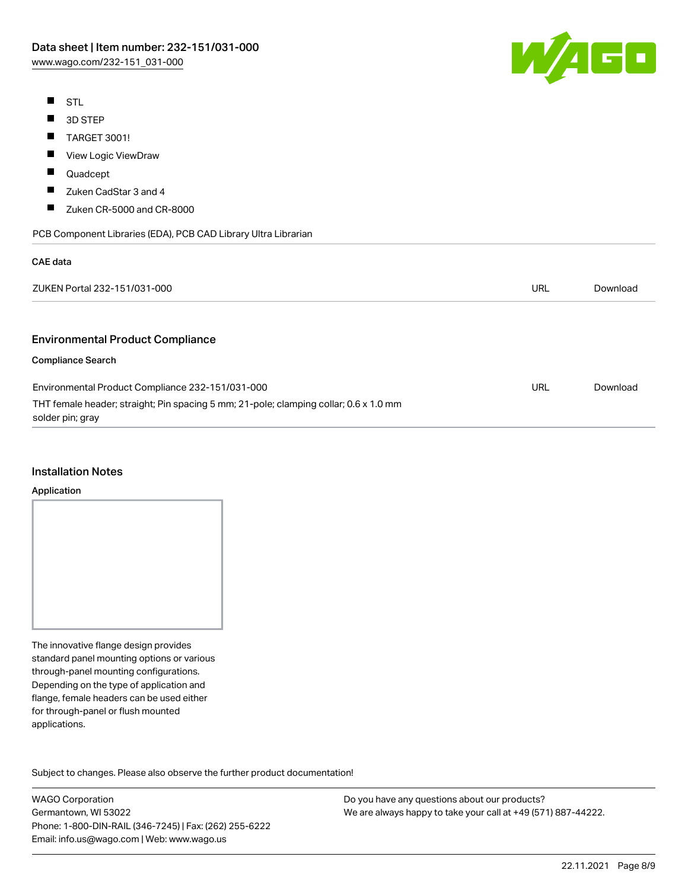

- $\blacksquare$ STL
- $\blacksquare$ 3D STEP
- $\blacksquare$ TARGET 3001!
- $\blacksquare$ View Logic ViewDraw
- $\blacksquare$ Quadcept
- $\blacksquare$ Zuken CadStar 3 and 4
- $\blacksquare$ Zuken CR-5000 and CR-8000

PCB Component Libraries (EDA), PCB CAD Library Ultra Librarian

#### CAE data

| ZUKEN Portal 232-151/031-000                                                                              | URL | Download |
|-----------------------------------------------------------------------------------------------------------|-----|----------|
| <b>Environmental Product Compliance</b>                                                                   |     |          |
| <b>Compliance Search</b>                                                                                  |     |          |
| Environmental Product Compliance 232-151/031-000                                                          | URL | Download |
| THT female header; straight; Pin spacing 5 mm; 21-pole; clamping collar; 0.6 x 1.0 mm<br>solder pin; gray |     |          |

#### Installation Notes

#### Application

The innovative flange design provides standard panel mounting options or various through-panel mounting configurations. Depending on the type of application and flange, female headers can be used either for through-panel or flush mounted applications.

Subject to changes. Please also observe the further product documentation! Product family

WAGO Corporation Germantown, WI 53022 Phone: 1-800-DIN-RAIL (346-7245) | Fax: (262) 255-6222 Email: info.us@wago.com | Web: www.wago.us